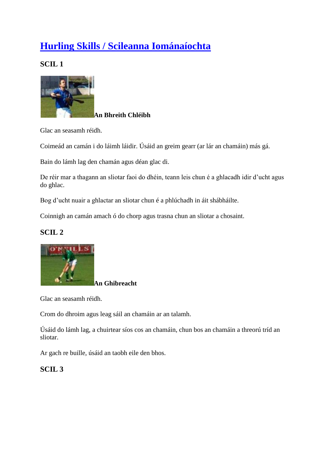# **[Hurling Skills / Scileanna Iománaíochta](http://munster.gaa.ie/cultur/hurling-skills/)**

**SCIL 1**



**An Bhreith Chléibh**

Glac an seasamh réidh.

Coimeád an camán i do láimh láidir. Úsáid an greim gearr (ar lár an chamáin) más gá.

Bain do lámh lag den chamán agus déan glac di.

De réir mar a thagann an sliotar faoi do dhéin, teann leis chun é a ghlacadh idir d'ucht agus do ghlac.

Bog d'ucht nuair a ghlactar an sliotar chun é a phlúchadh in áit shábháilte.

Coinnigh an camán amach ó do chorp agus trasna chun an sliotar a chosaint.

# **SCIL 2**



**An Ghibreacht**

Glac an seasamh réidh.

Crom do dhroim agus leag sáil an chamáin ar an talamh.

Úsáid do lámh lag, a chuirtear síos cos an chamáin, chun bos an chamáin a threorú tríd an sliotar.

Ar gach re buille, úsáid an taobh eile den bhos.

# **SCIL 3**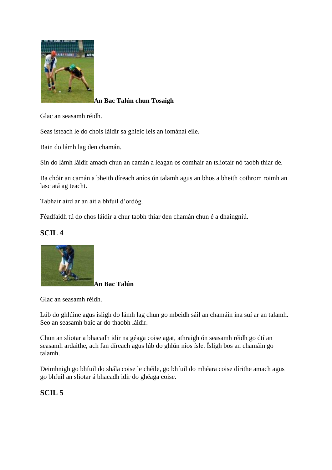

# **An Bac Talún chun Tosaigh**

Glac an seasamh réidh.

Seas isteach le do chois láidir sa ghleic leis an iománaí eile.

Bain do lámh lag den chamán.

Sín do lámh láidir amach chun an camán a leagan os comhair an tsliotair nó taobh thiar de.

Ba chóir an camán a bheith díreach aníos ón talamh agus an bhos a bheith cothrom roimh an lasc atá ag teacht.

Tabhair aird ar an áit a bhfuil d'ordóg.

Féadfaidh tú do chos láidir a chur taobh thiar den chamán chun é a dhaingniú.

# **SCIL 4**



Glac an seasamh réidh.

Lúb do ghlúine agus ísligh do lámh lag chun go mbeidh sáil an chamáin ina suí ar an talamh. Seo an seasamh baic ar do thaobh láidir.

Chun an sliotar a bhacadh idir na géaga coise agat, athraigh ón seasamh réidh go dtí an seasamh ardaithe, ach fan díreach agus lúb do ghlún níos ísle. Ísligh bos an chamáin go talamh.

Deimhnigh go bhfuil do shála coise le chéile, go bhfuil do mhéara coise dírithe amach agus go bhfuil an sliotar á bhacadh idir do ghéaga coise.

# **SCIL 5**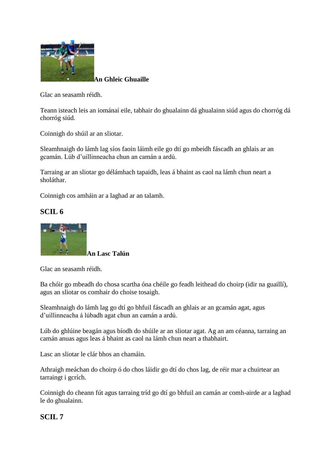

**An Ghleic Ghuaille**

Glac an seasamh réidh.

Teann isteach leis an iománaí eile, tabhair do ghualainn dá ghualainn siúd agus do chorróg dá chorróg siúd.

Coinnigh do shúil ar an sliotar.

Sleamhnaigh do lámh lag síos faoin láimh eile go dtí go mbeidh fáscadh an ghlais ar an gcamán. Lúb d'uillinneacha chun an camán a ardú.

Tarraing ar an sliotar go délámhach tapaidh, leas á bhaint as caol na lámh chun neart a sholáthar.

Coinnigh cos amháin ar a laghad ar an talamh.

# **SCIL 6**



**An Lasc Talún**

Glac an seasamh réidh.

Ba chóir go mbeadh do chosa scartha óna chéile go feadh leithead do choirp (idir na guaillí), agus an sliotar os comhair do choise tosaigh.

Sleamhnaigh do lámh lag go dtí go bhfuil fáscadh an ghlais ar an gcamán agat, agus d'uillinneacha á lúbadh agat chun an camán a ardú.

Lúb do ghlúine beagán agus bíodh do shúile ar an sliotar agat. Ag an am céanna, tarraing an camán anuas agus leas á bhaint as caol na lámh chun neart a thabhairt.

Lasc an sliotar le clár bhos an chamáin.

Athraigh meáchan do choirp ó do chos láidir go dtí do chos lag, de réir mar a chuirtear an tarraingt i gcrích.

Coinnigh do cheann fút agus tarraing tríd go dtí go bhfuil an camán ar comh-airde ar a laghad le do ghualainn.

### **SCIL 7**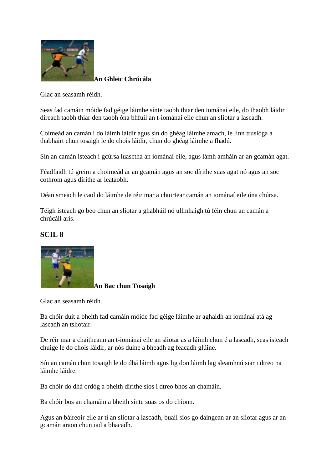

**An Ghleic Chrúcála**

Glac an seasamh réidh.

Seas fad camáin móide fad géige láimhe sínte taobh thiar den iománaí eile, do thaobh láidir díreach taobh thiar den taobh óna bhfuil an t-iománaí eile chun an sliotar a lascadh.

Coimeád an camán i do láimh láidir agus sín do ghéag láimhe amach, le linn truslóga a thabhairt chun tosaigh le do chois láidir, chun do ghéag láimhe a fhadú.

Sín an camán isteach i gcúrsa luasctha an iománaí eile, agus lámh amháin ar an gcamán agat.

Féadfaidh tú greim a choimeád ar an gcamán agus an soc dírithe suas agat nó agus an soc cothrom agus dírithe ar leataobh.

Déan smeach le caol do láimhe de réir mar a chuirtear camán an iománaí eile óna chúrsa.

Téigh isteach go beo chun an sliotar a ghabháil nó ullmhaigh tú féin chun an camán a chrúcáil arís.

# **SCIL 8**



**An Bac chun Tosaigh**

Glac an seasamh réidh.

Ba chóir duit a bheith fad camáin móide fad géige láimhe ar aghaidh an iománaí atá ag lascadh an tsliotair.

De réir mar a chaitheann an t-iománaí eile an sliotar as a láimh chun é a lascadh, seas isteach chuige le do chois láidir, ar nós duine a bheadh ag feacadh glúine.

Sín an camán chun tosaigh le do dhá láimh agus lig don láimh lag sleamhnú siar i dtreo na láimhe láidre.

Ba chóir do dhá ordóg a bheith dírithe síos i dtreo bhos an chamáin.

Ba chóir bos an chamáin a bheith sínte suas os do chionn.

Agus an báireoir eile ar tí an sliotar a lascadh, buail síos go daingean ar an sliotar agus ar an gcamán araon chun iad a bhacadh.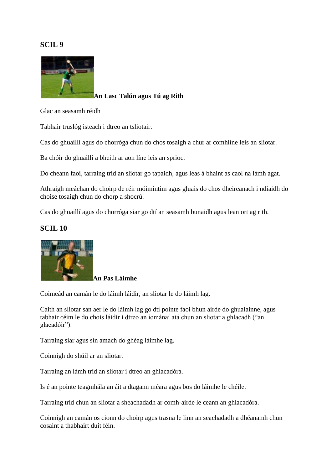

**An Lasc Talún agus Tú ag Rith**

Glac an seasamh réidh

Tabhair truslóg isteach i dtreo an tsliotair.

Cas do ghuaillí agus do chorróga chun do chos tosaigh a chur ar comhlíne leis an sliotar.

Ba chóir do ghuaillí a bheith ar aon líne leis an sprioc.

Do cheann faoi, tarraing tríd an sliotar go tapaidh, agus leas á bhaint as caol na lámh agat.

Athraigh meáchan do choirp de réir móimintim agus gluais do chos dheireanach i ndiaidh do choise tosaigh chun do chorp a shocrú.

Cas do ghuaillí agus do chorróga siar go dtí an seasamh bunaidh agus lean ort ag rith.

### **SCIL 10**



# **An Pas Láimhe**

Coimeád an camán le do láimh láidir, an sliotar le do láimh lag.

Caith an sliotar san aer le do láimh lag go dtí pointe faoi bhun airde do ghualainne, agus tabhair céim le do chois láidir i dtreo an iománaí atá chun an sliotar a ghlacadh ("an glacadóir").

Tarraing siar agus sín amach do ghéag láimhe lag.

Coinnigh do shúil ar an sliotar.

Tarraing an lámh tríd an sliotar i dtreo an ghlacadóra.

Is é an pointe teagmhála an áit a dtagann méara agus bos do láimhe le chéile.

Tarraing tríd chun an sliotar a sheachadadh ar comh-airde le ceann an ghlacadóra.

Coinnigh an camán os cionn do choirp agus trasna le linn an seachadadh a dhéanamh chun cosaint a thabhairt duit féin.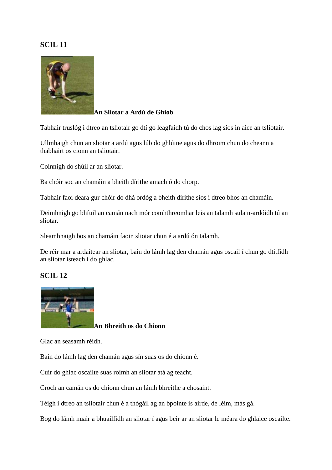

#### **An Sliotar a Ardú de Ghiob**

Tabhair truslóg i dtreo an tsliotair go dtí go leagfaidh tú do chos lag síos in aice an tsliotair.

Ullmhaigh chun an sliotar a ardú agus lúb do ghlúine agus do dhroim chun do cheann a thabhairt os cionn an tsliotair.

Coinnigh do shúil ar an sliotar.

Ba chóir soc an chamáin a bheith dírithe amach ó do chorp.

Tabhair faoi deara gur chóir do dhá ordóg a bheith dírithe síos i dtreo bhos an chamáin.

Deimhnigh go bhfuil an camán nach mór comhthreomhar leis an talamh sula n-ardóidh tú an sliotar.

Sleamhnaigh bos an chamáin faoin sliotar chun é a ardú ón talamh.

De réir mar a ardaítear an sliotar, bain do lámh lag den chamán agus oscail í chun go dtitfidh an sliotar isteach i do ghlac.

### **SCIL 12**



**An Bhreith os do Chionn**

Glac an seasamh réidh.

Bain do lámh lag den chamán agus sín suas os do chionn é.

Cuir do ghlac oscailte suas roimh an sliotar atá ag teacht.

Croch an camán os do chionn chun an lámh bhreithe a chosaint.

Téigh i dtreo an tsliotair chun é a thógáil ag an bpointe is airde, de léim, más gá.

Bog do lámh nuair a bhuailfidh an sliotar í agus beir ar an sliotar le méara do ghlaice oscailte.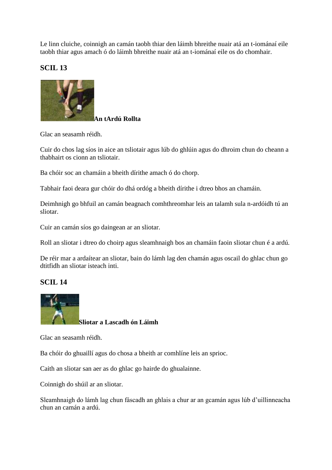Le linn cluiche, coinnigh an camán taobh thiar den láimh bhreithe nuair atá an t-iománaí eile taobh thiar agus amach ó do láimh bhreithe nuair atá an t-iománaí eile os do chomhair.

# **SCIL 13**



Glac an seasamh réidh.

Cuir do chos lag síos in aice an tsliotair agus lúb do ghlúin agus do dhroim chun do cheann a thabhairt os cionn an tsliotair.

Ba chóir soc an chamáin a bheith dírithe amach ó do chorp.

Tabhair faoi deara gur chóir do dhá ordóg a bheith dírithe i dtreo bhos an chamáin.

Deimhnigh go bhfuil an camán beagnach comhthreomhar leis an talamh sula n-ardóidh tú an sliotar.

Cuir an camán síos go daingean ar an sliotar.

Roll an sliotar i dtreo do choirp agus sleamhnaigh bos an chamáin faoin sliotar chun é a ardú.

De réir mar a ardaítear an sliotar, bain do lámh lag den chamán agus oscail do ghlac chun go dtitfidh an sliotar isteach inti.

### **SCIL 14**



Glac an seasamh réidh.

Ba chóir do ghuaillí agus do chosa a bheith ar comhlíne leis an sprioc.

Caith an sliotar san aer as do ghlac go hairde do ghualainne.

Coinnigh do shúil ar an sliotar.

Sleamhnaigh do lámh lag chun fáscadh an ghlais a chur ar an gcamán agus lúb d'uillinneacha chun an camán a ardú.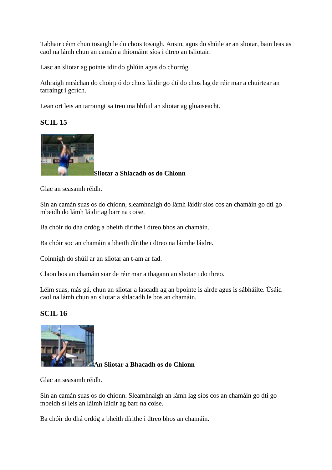Tabhair céim chun tosaigh le do chois tosaigh. Ansin, agus do shúile ar an sliotar, bain leas as caol na lámh chun an camán a thiomáint síos i dtreo an tsliotair.

Lasc an sliotar ag pointe idir do ghlúin agus do chorróg.

Athraigh meáchan do choirp ó do chois láidir go dtí do chos lag de réir mar a chuirtear an tarraingt i gcrích.

Lean ort leis an tarraingt sa treo ina bhfuil an sliotar ag gluaiseacht.

# **SCIL 15**



**Sliotar a Shlacadh os do Chionn**

Glac an seasamh réidh.

Sín an camán suas os do chionn, sleamhnaigh do lámh láidir síos cos an chamáin go dtí go mbeidh do lámh láidir ag barr na coise.

Ba chóir do dhá ordóg a bheith dírithe i dtreo bhos an chamáin.

Ba chóir soc an chamáin a bheith dírithe i dtreo na láimhe láidre.

Coinnigh do shúil ar an sliotar an t-am ar fad.

Claon bos an chamáin siar de réir mar a thagann an sliotar i do threo.

Léim suas, más gá, chun an sliotar a lascadh ag an bpointe is airde agus is sábháilte. Úsáid caol na lámh chun an sliotar a shlacadh le bos an chamáin.

# **SCIL 16**



**An Sliotar a Bhacadh os do Chionn**

Glac an seasamh réidh.

Sín an camán suas os do chionn. Sleamhnaigh an lámh lag síos cos an chamáin go dtí go mbeidh sí leis an láimh láidir ag barr na coise.

Ba chóir do dhá ordóg a bheith dírithe i dtreo bhos an chamáin.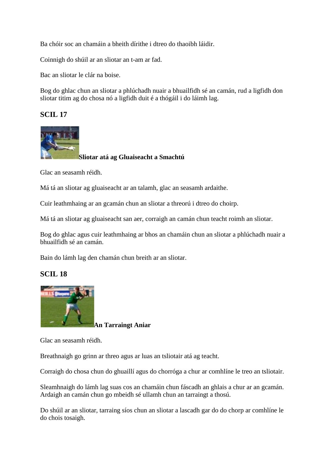Ba chóir soc an chamáin a bheith dírithe i dtreo do thaoibh láidir.

Coinnigh do shúil ar an sliotar an t-am ar fad.

Bac an sliotar le clár na boise.

Bog do ghlac chun an sliotar a phlúchadh nuair a bhuailfidh sé an camán, rud a ligfidh don sliotar titim ag do chosa nó a ligfidh duit é a thógáil i do láimh lag.

# **SCIL 17**



**Sliotar atá ag Gluaiseacht a Smachtú**

Glac an seasamh réidh.

Má tá an sliotar ag gluaiseacht ar an talamh, glac an seasamh ardaithe.

Cuir leathmhaing ar an gcamán chun an sliotar a threorú i dtreo do choirp.

Má tá an sliotar ag gluaiseacht san aer, corraigh an camán chun teacht roimh an sliotar.

Bog do ghlac agus cuir leathmhaing ar bhos an chamáin chun an sliotar a phlúchadh nuair a bhuailfidh sé an camán.

Bain do lámh lag den chamán chun breith ar an sliotar.

# **SCIL 18**



**An Tarraingt Aniar**

Glac an seasamh réidh.

Breathnaigh go grinn ar threo agus ar luas an tsliotair atá ag teacht.

Corraigh do chosa chun do ghuaillí agus do chorróga a chur ar comhlíne le treo an tsliotair.

Sleamhnaigh do lámh lag suas cos an chamáin chun fáscadh an ghlais a chur ar an gcamán. Ardaigh an camán chun go mbeidh sé ullamh chun an tarraingt a thosú.

Do shúil ar an sliotar, tarraing síos chun an sliotar a lascadh gar do do chorp ar comhlíne le do chois tosaigh.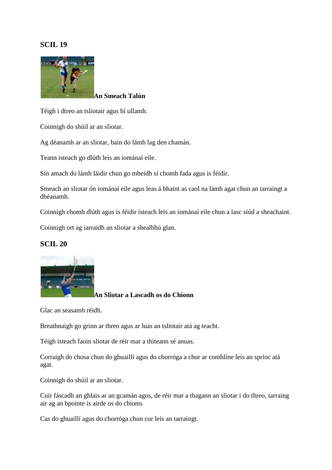

**An Smeach Talún**

Téigh i dtreo an tsliotair agus bí ullamh.

Coinnigh do shúil ar an sliotar.

Ag déanamh ar an sliotar, bain do lámh lag den chamán.

Teann isteach go dlúth leis an iománaí eile.

Sín amach do lámh láidir chun go mbeidh sí chomh fada agus is féidir.

Smeach an sliotar ón iománaí eile agus leas á bhaint as caol na lámh agat chun an tarraingt a dhéanamh.

Coinnigh chomh dlúth agus is féidir isteach leis an iománaí eile chun a lasc siúd a sheachaint.

Coinnigh ort ag iarraidh an sliotar a shealbhú glan.

# **SCIL 20**



**An Sliotar a Lascadh os do Chionn**

Glac an seasamh réidh.

Breathnaigh go grinn ar threo agus ar luas an tsliotair atá ag teacht.

Téigh isteach faoin sliotar de réir mar a thiteann sé anuas.

Corraigh do chosa chun do ghuaillí agus do chorróga a chur ar comhlíne leis an sprioc atá agat.

Coinnigh do shúil ar an sliotar.

Cuir fáscadh an ghlais ar an gcamán agus, de réir mar a thagann an sliotar i do threo, tarraing air ag an bpointe is airde os do chionn.

Cas do ghuaillí agus do chorróga chun cur leis an tarraingt.